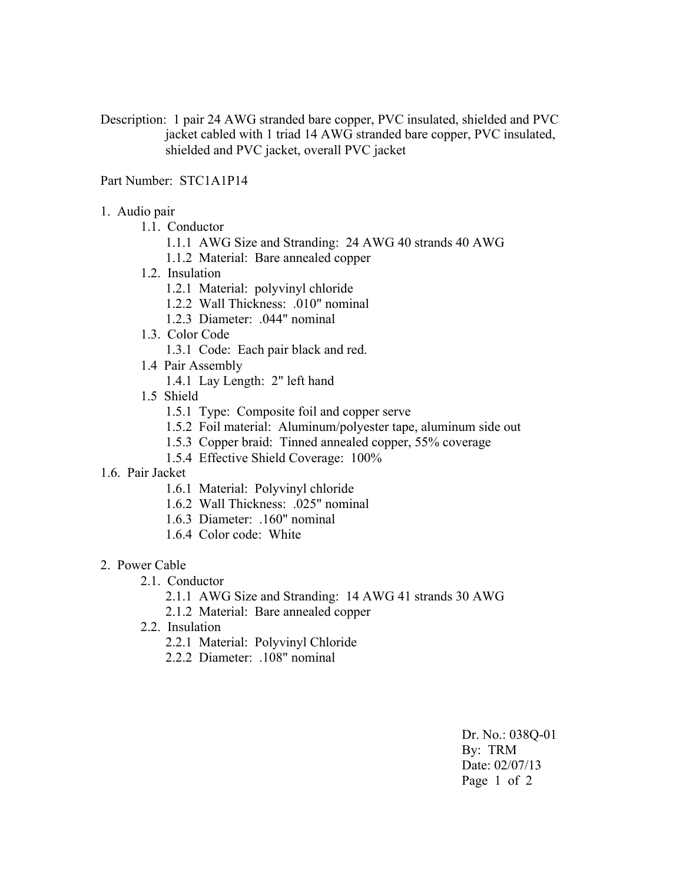Description: 1 pair 24 AWG stranded bare copper, PVC insulated, shielded and PVC jacket cabled with 1 triad 14 AWG stranded bare copper, PVC insulated, shielded and PVC jacket, overall PVC jacket

## Part Number: STC1A1P14

- 1. Audio pair
	- 1.1. Conductor
		- 1.1.1 AWG Size and Stranding: 24 AWG 40 strands 40 AWG
		- 1.1.2 Material: Bare annealed copper
	- 1.2. Insulation
		- 1.2.1 Material: polyvinyl chloride
		- 1.2.2 Wall Thickness: .010" nominal
		- 1.2.3 Diameter: .044" nominal
	- 1.3. Color Code
		- 1.3.1 Code: Each pair black and red.
	- 1.4 Pair Assembly
		- 1.4.1 Lay Length: 2" left hand
	- 1.5 Shield
		- 1.5.1 Type: Composite foil and copper serve
		- 1.5.2 Foil material: Aluminum/polyester tape, aluminum side out
		- 1.5.3 Copper braid: Tinned annealed copper, 55% coverage
		- 1.5.4 Effective Shield Coverage: 100%
- 1.6. Pair Jacket
	- 1.6.1 Material: Polyvinyl chloride
	- 1.6.2 Wall Thickness: .025" nominal
	- 1.6.3 Diameter: .160" nominal
	- 1.6.4 Color code: White
- 2. Power Cable
	- 2.1. Conductor
		- 2.1.1 AWG Size and Stranding: 14 AWG 41 strands 30 AWG
		- 2.1.2 Material: Bare annealed copper
	- 2.2. Insulation
		- 2.2.1 Material: Polyvinyl Chloride
		- 2.2.2 Diameter: .108" nominal

Dr. No.: 038Q-01 By: TRM Date: 02/07/13 Page 1 of 2